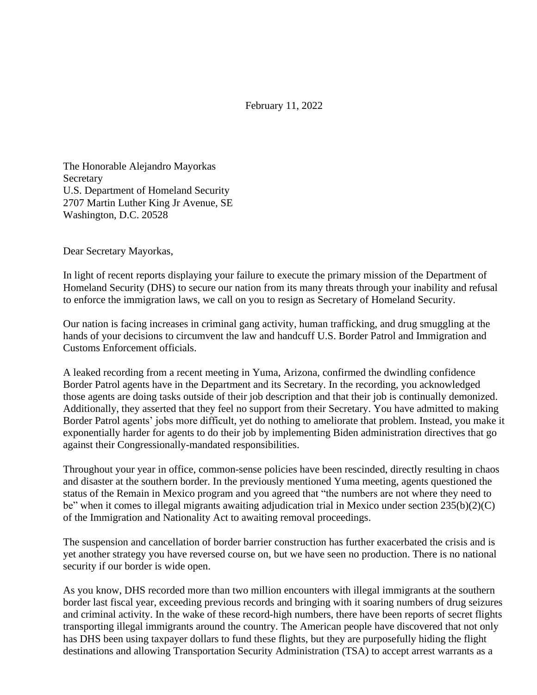## February 11, 2022

The Honorable Alejandro Mayorkas Secretary U.S. Department of Homeland Security 2707 Martin Luther King Jr Avenue, SE Washington, D.C. 20528

Dear Secretary Mayorkas,

In light of recent reports displaying your failure to execute the primary mission of the Department of Homeland Security (DHS) to secure our nation from its many threats through your inability and refusal to enforce the immigration laws, we call on you to resign as Secretary of Homeland Security.

Our nation is facing increases in criminal gang activity, human trafficking, and drug smuggling at the hands of your decisions to circumvent the law and handcuff U.S. Border Patrol and Immigration and Customs Enforcement officials.

A leaked recording from a recent meeting in Yuma, Arizona, confirmed the dwindling confidence Border Patrol agents have in the Department and its Secretary. In the recording, you acknowledged those agents are doing tasks outside of their job description and that their job is continually demonized. Additionally, they asserted that they feel no support from their Secretary. You have admitted to making Border Patrol agents' jobs more difficult, yet do nothing to ameliorate that problem. Instead, you make it exponentially harder for agents to do their job by implementing Biden administration directives that go against their Congressionally-mandated responsibilities.

Throughout your year in office, common-sense policies have been rescinded, directly resulting in chaos and disaster at the southern border. In the previously mentioned Yuma meeting, agents questioned the status of the Remain in Mexico program and you agreed that "the numbers are not where they need to be" when it comes to illegal migrants awaiting adjudication trial in Mexico under section 235(b)(2)(C) of the Immigration and Nationality Act to awaiting removal proceedings.

The suspension and cancellation of border barrier construction has further exacerbated the crisis and is yet another strategy you have reversed course on, but we have seen no production. There is no national security if our border is wide open.

As you know, DHS recorded more than two million encounters with illegal immigrants at the southern border last fiscal year, exceeding previous records and bringing with it soaring numbers of drug seizures and criminal activity. In the wake of these record-high numbers, there have been reports of secret flights transporting illegal immigrants around the country. The American people have discovered that not only has DHS been using taxpayer dollars to fund these flights, but they are purposefully hiding the flight destinations and allowing Transportation Security Administration (TSA) to accept arrest warrants as a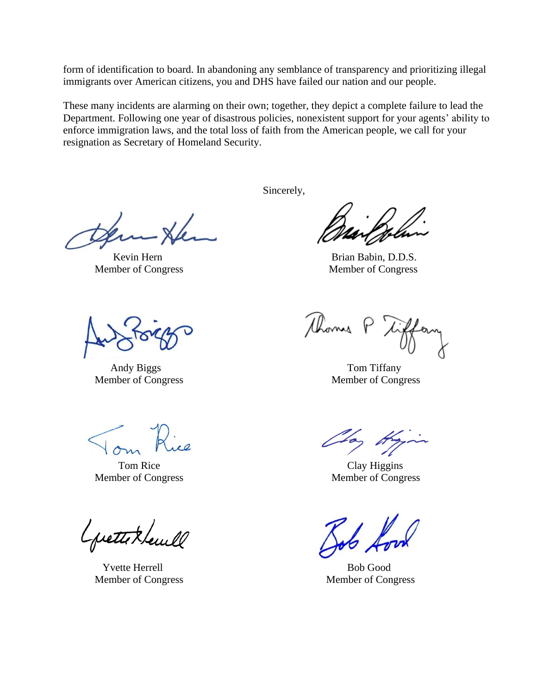form of identification to board. In abandoning any semblance of transparency and prioritizing illegal immigrants over American citizens, you and DHS have failed our nation and our people.

These many incidents are alarming on their own; together, they depict a complete failure to lead the Department. Following one year of disastrous policies, nonexistent support for your agents' ability to enforce immigration laws, and the total loss of faith from the American people, we call for your resignation as Secretary of Homeland Security.

Sincerely,

Kevin Hern Brian Babin, D.D.S. Member of Congress Member of Congress

Andy Biggs Tom Tiffany Member of Congress Member of Congress

Member of Congress Member of Congress

prettiklem

Yvette Herrell Bob Good

thomas P

Loy A

Tom Rice Clay Higgins

Member of Congress Member of Congress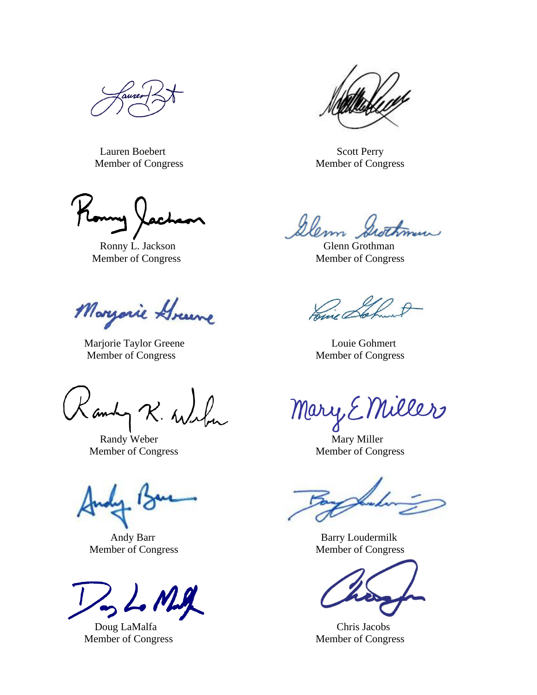<u>sure.</u>

Lauren Boebert Scott Perry Member of Congress Member of Congress

Marjorie Greene

Marjorie Taylor Greene Louie Gohmert Member of Congress Member of Congress

Landy R. Willen

Member of Congress Member of Congress

Ronny L. Jackson Glenn Grothman Member of Congress Member of Congress

Mary E Miller

Randy Weber Mary Miller Member of Congress Member of Congress

Andy Barr Barry Loudermilk

Doug LaMalfa Chris Jacobs Member of Congress Member of Congress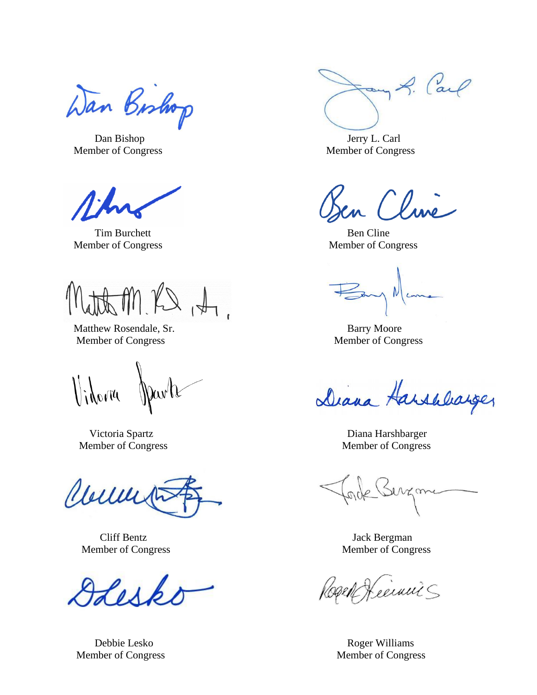Wan Bishop

Member of Congress Member of Congress

Tim Burchett Ben Cline Member of Congress Member of Congress

Matthew Rosendale, Sr. Barry Moore Member of Congress Member of Congress

 $\mathcal{N}_{i}$  into the

Volle

Member of Congress Member of Congress

L. Carl

Dan Bishop Jerry L. Carl

en Cline

 $\mathcal{N}$ 

Diana Harshbarger

Victoria Spartz **Diana Harshbarger** Diana Harshbarger Member of Congress Member of Congress

elzame

Cliff Bentz Jack Bergman

'ecinii 5

Debbie Lesko Roger Williams Member of Congress Member of Congress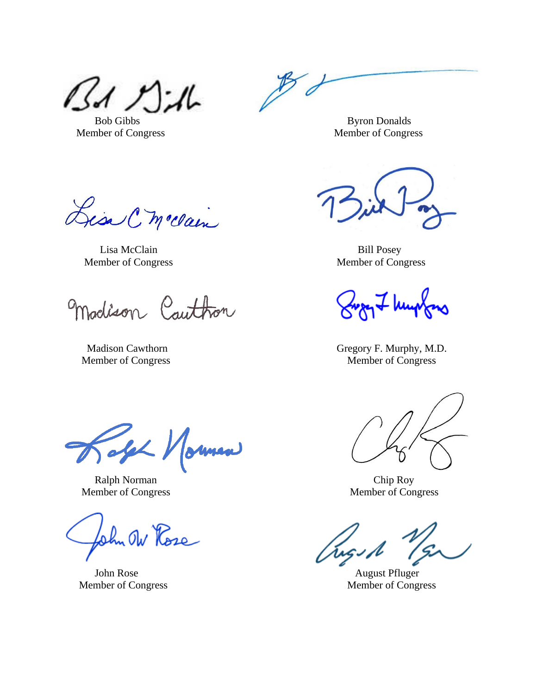$2421$ 

Bob Gibbs Byron Donalds Member of Congress Member of Congress

Member of Congress Member of Congress

Madison Cawthorn Gregory F. Murphy, M.D. Member of Congress Member of Congress

Member of Congress Member of Congress

Member of Congress Member of Congress

Lisa C. m. clain

Lisa McClain Bill Posey

madison Cauthon

old Normea

Ralph Norman Chip Roy

folm Ow Rose

John Rose August Pfluger